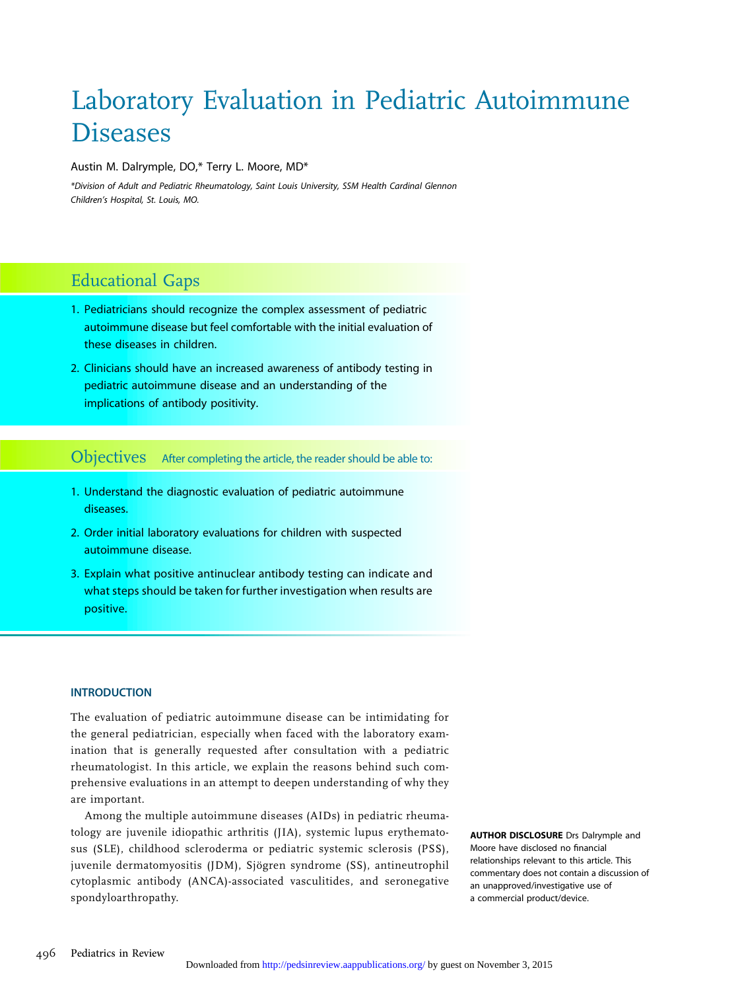# Laboratory Evaluation in Pediatric Autoimmune **Diseases**

#### Austin M. Dalrymple, DO,\* Terry L. Moore, MD\*

\*Division of Adult and Pediatric Rheumatology, Saint Louis University, SSM Health Cardinal Glennon Children's Hospital, St. Louis, MO.

# Educational Gaps

- 1. Pediatricians should recognize the complex assessment of pediatric autoimmune disease but feel comfortable with the initial evaluation of these diseases in children.
- 2. Clinicians should have an increased awareness of antibody testing in pediatric autoimmune disease and an understanding of the implications of antibody positivity.

Objectives After completing the article, the reader should be able to:

- 1. Understand the diagnostic evaluation of pediatric autoimmune diseases.
- 2. Order initial laboratory evaluations for children with suspected autoimmune disease.
- 3. Explain what positive antinuclear antibody testing can indicate and what steps should be taken for further investigation when results are positive.

#### **INTRODUCTION**

The evaluation of pediatric autoimmune disease can be intimidating for the general pediatrician, especially when faced with the laboratory examination that is generally requested after consultation with a pediatric rheumatologist. In this article, we explain the reasons behind such comprehensive evaluations in an attempt to deepen understanding of why they are important.

Among the multiple autoimmune diseases (AIDs) in pediatric rheumatology are juvenile idiopathic arthritis (JIA), systemic lupus erythematosus (SLE), childhood scleroderma or pediatric systemic sclerosis (PSS), juvenile dermatomyositis (JDM), Sjögren syndrome (SS), antineutrophil cytoplasmic antibody (ANCA)-associated vasculitides, and seronegative spondyloarthropathy.

AUTHOR DISCLOSURE Drs Dalrymple and Moore have disclosed no financial relationships relevant to this article. This commentary does not contain a discussion of an unapproved/investigative use of a commercial product/device.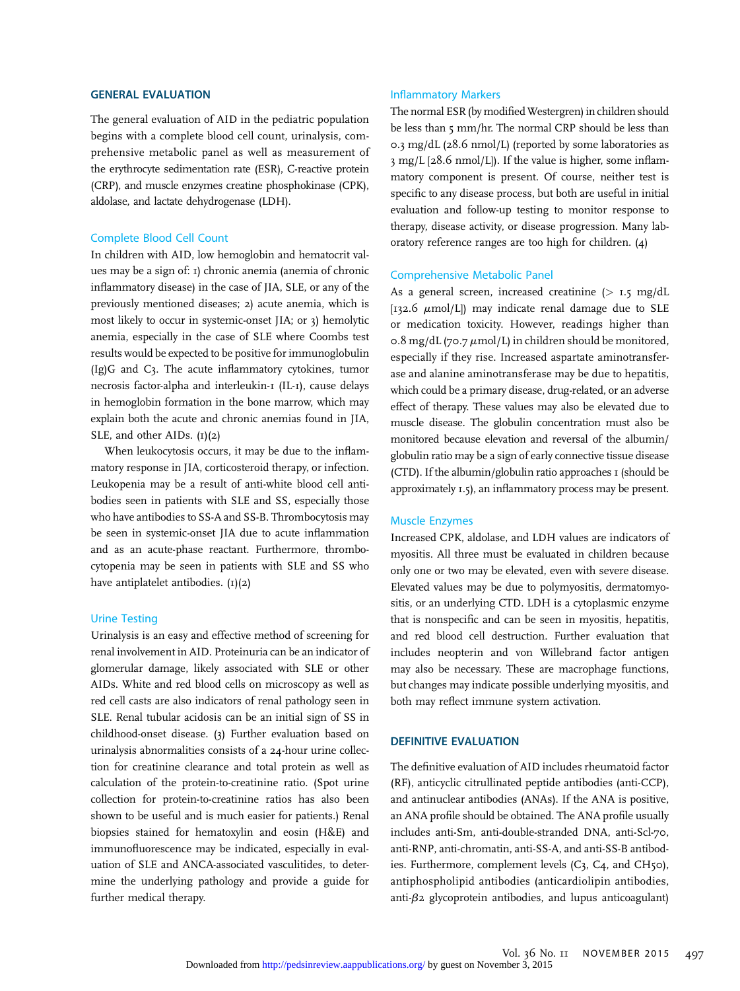#### GENERAL EVALUATION

The general evaluation of AID in the pediatric population begins with a complete blood cell count, urinalysis, comprehensive metabolic panel as well as measurement of the erythrocyte sedimentation rate (ESR), C-reactive protein (CRP), and muscle enzymes creatine phosphokinase (CPK), aldolase, and lactate dehydrogenase (LDH).

#### Complete Blood Cell Count

In children with AID, low hemoglobin and hematocrit values may be a sign of: 1) chronic anemia (anemia of chronic inflammatory disease) in the case of JIA, SLE, or any of the previously mentioned diseases; 2) acute anemia, which is most likely to occur in systemic-onset JIA; or 3) hemolytic anemia, especially in the case of SLE where Coombs test results would be expected to be positive for immunoglobulin (Ig)G and C3. The acute inflammatory cytokines, tumor necrosis factor-alpha and interleukin-1 (IL-1), cause delays in hemoglobin formation in the bone marrow, which may explain both the acute and chronic anemias found in JIA, SLE, and other AIDs.  $(I)(2)$ 

When leukocytosis occurs, it may be due to the inflammatory response in JIA, corticosteroid therapy, or infection. Leukopenia may be a result of anti-white blood cell antibodies seen in patients with SLE and SS, especially those who have antibodies to SS-A and SS-B. Thrombocytosis may be seen in systemic-onset JIA due to acute inflammation and as an acute-phase reactant. Furthermore, thrombocytopenia may be seen in patients with SLE and SS who have antiplatelet antibodies.  $(I)(2)$ 

#### Urine Testing

Urinalysis is an easy and effective method of screening for renal involvement in AID. Proteinuria can be an indicator of glomerular damage, likely associated with SLE or other AIDs. White and red blood cells on microscopy as well as red cell casts are also indicators of renal pathology seen in SLE. Renal tubular acidosis can be an initial sign of SS in childhood-onset disease. (3) Further evaluation based on urinalysis abnormalities consists of a 24-hour urine collection for creatinine clearance and total protein as well as calculation of the protein-to-creatinine ratio. (Spot urine collection for protein-to-creatinine ratios has also been shown to be useful and is much easier for patients.) Renal biopsies stained for hematoxylin and eosin (H&E) and immunofluorescence may be indicated, especially in evaluation of SLE and ANCA-associated vasculitides, to determine the underlying pathology and provide a guide for further medical therapy.

#### Inflammatory Markers

The normal ESR (by modified Westergren) in children should be less than 5 mm/hr. The normal CRP should be less than 0.3 mg/dL (28.6 nmol/L) (reported by some laboratories as 3 mg/L [28.6 nmol/L]). If the value is higher, some inflammatory component is present. Of course, neither test is specific to any disease process, but both are useful in initial evaluation and follow-up testing to monitor response to therapy, disease activity, or disease progression. Many laboratory reference ranges are too high for children. (4)

#### Comprehensive Metabolic Panel

As a general screen, increased creatinine  $(> 1.5 \text{ mg/dL})$ [132.6  $\mu$ mol/L]) may indicate renal damage due to SLE or medication toxicity. However, readings higher than 0.8 mg/dL (70.7  $\mu$ mol/L) in children should be monitored, especially if they rise. Increased aspartate aminotransferase and alanine aminotransferase may be due to hepatitis, which could be a primary disease, drug-related, or an adverse effect of therapy. These values may also be elevated due to muscle disease. The globulin concentration must also be monitored because elevation and reversal of the albumin/ globulin ratio may be a sign of early connective tissue disease (CTD). If the albumin/globulin ratio approaches  $I$  (should be approximately 1.5), an inflammatory process may be present.

#### Muscle Enzymes

Increased CPK, aldolase, and LDH values are indicators of myositis. All three must be evaluated in children because only one or two may be elevated, even with severe disease. Elevated values may be due to polymyositis, dermatomyositis, or an underlying CTD. LDH is a cytoplasmic enzyme that is nonspecific and can be seen in myositis, hepatitis, and red blood cell destruction. Further evaluation that includes neopterin and von Willebrand factor antigen may also be necessary. These are macrophage functions, but changes may indicate possible underlying myositis, and both may reflect immune system activation.

#### DEFINITIVE EVALUATION

The definitive evaluation of AID includes rheumatoid factor (RF), anticyclic citrullinated peptide antibodies (anti-CCP), and antinuclear antibodies (ANAs). If the ANA is positive, an ANA profile should be obtained. The ANA profile usually includes anti-Sm, anti-double-stranded DNA, anti-Scl-70, anti-RNP, anti-chromatin, anti-SS-A, and anti-SS-B antibodies. Furthermore, complement levels (C3, C4, and CH50), antiphospholipid antibodies (anticardiolipin antibodies, anti- $\beta$ 2 glycoprotein antibodies, and lupus anticoagulant)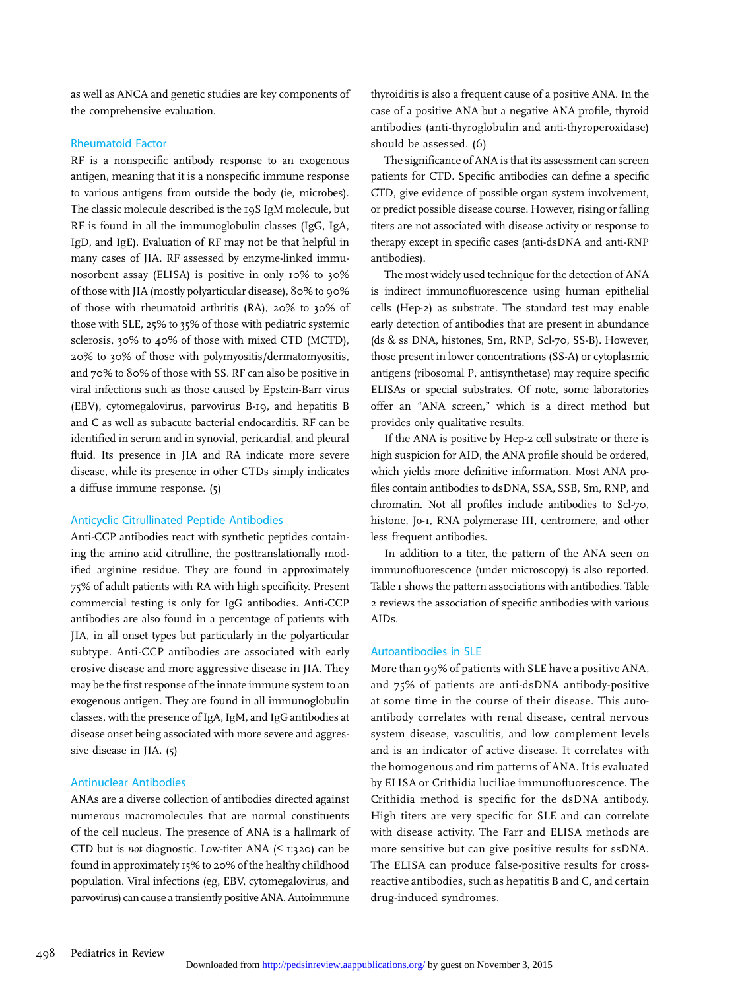as well as ANCA and genetic studies are key components of the comprehensive evaluation.

#### Rheumatoid Factor

RF is a nonspecific antibody response to an exogenous antigen, meaning that it is a nonspecific immune response to various antigens from outside the body (ie, microbes). The classic molecule described is the 19S IgM molecule, but RF is found in all the immunoglobulin classes (IgG, IgA, IgD, and IgE). Evaluation of RF may not be that helpful in many cases of JIA. RF assessed by enzyme-linked immunosorbent assay (ELISA) is positive in only 10% to 30% of those with JIA (mostly polyarticular disease), 80% to 90% of those with rheumatoid arthritis (RA), 20% to 30% of those with SLE, 25% to 35% of those with pediatric systemic sclerosis, 30% to 40% of those with mixed CTD (MCTD), 20% to 30% of those with polymyositis/dermatomyositis, and 70% to 80% of those with SS. RF can also be positive in viral infections such as those caused by Epstein-Barr virus (EBV), cytomegalovirus, parvovirus B-19, and hepatitis B and C as well as subacute bacterial endocarditis. RF can be identified in serum and in synovial, pericardial, and pleural fluid. Its presence in JIA and RA indicate more severe disease, while its presence in other CTDs simply indicates a diffuse immune response. (5)

#### Anticyclic Citrullinated Peptide Antibodies

Anti-CCP antibodies react with synthetic peptides containing the amino acid citrulline, the posttranslationally modified arginine residue. They are found in approximately 75% of adult patients with RA with high specificity. Present commercial testing is only for IgG antibodies. Anti-CCP antibodies are also found in a percentage of patients with JIA, in all onset types but particularly in the polyarticular subtype. Anti-CCP antibodies are associated with early erosive disease and more aggressive disease in JIA. They may be the first response of the innate immune system to an exogenous antigen. They are found in all immunoglobulin classes, with the presence of IgA, IgM, and IgG antibodies at disease onset being associated with more severe and aggressive disease in JIA. (5)

#### Antinuclear Antibodies

ANAs are a diverse collection of antibodies directed against numerous macromolecules that are normal constituents of the cell nucleus. The presence of ANA is a hallmark of CTD but is *not* diagnostic. Low-titer ANA  $(\leq$  1:320) can be found in approximately 15% to 20% of the healthy childhood population. Viral infections (eg, EBV, cytomegalovirus, and parvovirus) can cause a transiently positive ANA. Autoimmune

thyroiditis is also a frequent cause of a positive ANA. In the case of a positive ANA but a negative ANA profile, thyroid antibodies (anti-thyroglobulin and anti-thyroperoxidase) should be assessed. (6)

The significance of ANA is that its assessment can screen patients for CTD. Specific antibodies can define a specific CTD, give evidence of possible organ system involvement, or predict possible disease course. However, rising or falling titers are not associated with disease activity or response to therapy except in specific cases (anti-dsDNA and anti-RNP antibodies).

The most widely used technique for the detection of ANA is indirect immunofluorescence using human epithelial cells (Hep-2) as substrate. The standard test may enable early detection of antibodies that are present in abundance (ds & ss DNA, histones, Sm, RNP, Scl-70, SS-B). However, those present in lower concentrations (SS-A) or cytoplasmic antigens (ribosomal P, antisynthetase) may require specific ELISAs or special substrates. Of note, some laboratories offer an "ANA screen," which is a direct method but provides only qualitative results.

If the ANA is positive by Hep-2 cell substrate or there is high suspicion for AID, the ANA profile should be ordered, which yields more definitive information. Most ANA profiles contain antibodies to dsDNA, SSA, SSB, Sm, RNP, and chromatin. Not all profiles include antibodies to Scl-70, histone, Jo-1, RNA polymerase III, centromere, and other less frequent antibodies.

In addition to a titer, the pattern of the ANA seen on immunofluorescence (under microscopy) is also reported. Table 1 shows the pattern associations with antibodies. Table 2 reviews the association of specific antibodies with various AIDs.

#### Autoantibodies in SLE

More than 99% of patients with SLE have a positive ANA, and 75% of patients are anti-dsDNA antibody-positive at some time in the course of their disease. This autoantibody correlates with renal disease, central nervous system disease, vasculitis, and low complement levels and is an indicator of active disease. It correlates with the homogenous and rim patterns of ANA. It is evaluated by ELISA or Crithidia luciliae immunofluorescence. The Crithidia method is specific for the dsDNA antibody. High titers are very specific for SLE and can correlate with disease activity. The Farr and ELISA methods are more sensitive but can give positive results for ssDNA. The ELISA can produce false-positive results for crossreactive antibodies, such as hepatitis B and C, and certain drug-induced syndromes.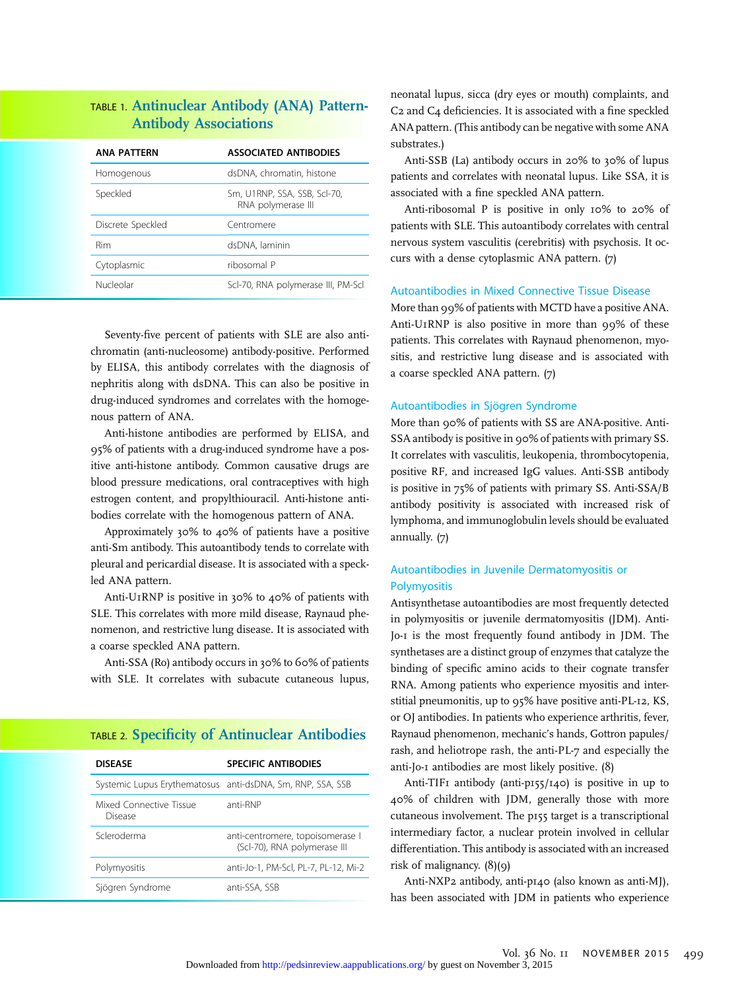# TABLE 1. Antinuclear Antibody (ANA) Pattern-Antibody Associations

| <b>ANA PATTERN</b> | <b>ASSOCIATED ANTIBODIES</b>                       |
|--------------------|----------------------------------------------------|
| Homogenous         | dsDNA, chromatin, histone                          |
| Speckled           | Sm, U1RNP, SSA, SSB, Scl-70,<br>RNA polymerase III |
| Discrete Speckled  | Centromere                                         |
| Rim                | dsDNA, laminin                                     |
| Cytoplasmic        | ribosomal P                                        |
| Nucleolar          | Scl-70, RNA polymerase III, PM-Scl                 |

Seventy-five percent of patients with SLE are also antichromatin (anti-nucleosome) antibody-positive. Performed by ELISA, this antibody correlates with the diagnosis of nephritis along with dsDNA. This can also be positive in drug-induced syndromes and correlates with the homogenous pattern of ANA.

Anti-histone antibodies are performed by ELISA, and 95% of patients with a drug-induced syndrome have a positive anti-histone antibody. Common causative drugs are blood pressure medications, oral contraceptives with high estrogen content, and propylthiouracil. Anti-histone antibodies correlate with the homogenous pattern of ANA.

Approximately 30% to 40% of patients have a positive anti-Sm antibody. This autoantibody tends to correlate with pleural and pericardial disease. It is associated with a speckled ANA pattern.

Anti-U1RNP is positive in 30% to 40% of patients with SLE. This correlates with more mild disease, Raynaud phenomenon, and restrictive lung disease. It is associated with a coarse speckled ANA pattern.

Anti-SSA (Ro) antibody occurs in 30% to 60% of patients with SLE. It correlates with subacute cutaneous lupus,

# TABLE 2. Specificity of Antinuclear Antibodies

| <b>DISEASE</b>                     | <b>SPECIFIC ANTIBODIES</b>                                       |
|------------------------------------|------------------------------------------------------------------|
|                                    | Systemic Lupus Erythematosus anti-dsDNA, Sm, RNP, SSA, SSB       |
| Mixed Connective Tissue<br>Disease | anti-RNP                                                         |
| Scleroderma                        | anti-centromere, topoisomerase I<br>(Scl-70), RNA polymerase III |
| Polymyositis                       | anti-Jo-1, PM-Scl, PL-7, PL-12, Mi-2                             |
| Sjögren Syndrome                   | anti-SSA, SSB                                                    |

neonatal lupus, sicca (dry eyes or mouth) complaints, and C2 and C4 deficiencies. It is associated with a fine speckled ANA pattern. (This antibody can be negative with some ANA substrates.)

Anti-SSB (La) antibody occurs in 20% to 30% of lupus patients and correlates with neonatal lupus. Like SSA, it is associated with a fine speckled ANA pattern.

Anti-ribosomal P is positive in only 10% to 20% of patients with SLE. This autoantibody correlates with central nervous system vasculitis (cerebritis) with psychosis. It occurs with a dense cytoplasmic ANA pattern. (7)

#### Autoantibodies in Mixed Connective Tissue Disease

More than 99% of patients with MCTD have a positive ANA. Anti-U1RNP is also positive in more than 99% of these patients. This correlates with Raynaud phenomenon, myositis, and restrictive lung disease and is associated with a coarse speckled ANA pattern. (7)

#### Autoantibodies in Sjögren Syndrome

More than 90% of patients with SS are ANA-positive. Anti-SSA antibody is positive in 90% of patients with primary SS. It correlates with vasculitis, leukopenia, thrombocytopenia, positive RF, and increased IgG values. Anti-SSB antibody is positive in 75% of patients with primary SS. Anti-SSA/B antibody positivity is associated with increased risk of lymphoma, and immunoglobulin levels should be evaluated annually. (7)

## Autoantibodies in Juvenile Dermatomyositis or Polymyositis

Antisynthetase autoantibodies are most frequently detected in polymyositis or juvenile dermatomyositis (JDM). Anti-Jo-1 is the most frequently found antibody in JDM. The synthetases are a distinct group of enzymes that catalyze the binding of specific amino acids to their cognate transfer RNA. Among patients who experience myositis and interstitial pneumonitis, up to 95% have positive anti-PL-12, KS, or OJ antibodies. In patients who experience arthritis, fever, Raynaud phenomenon, mechanic's hands, Gottron papules/ rash, and heliotrope rash, the anti-PL-7 and especially the anti-Jo-1 antibodies are most likely positive. (8)

Anti-TIF1 antibody (anti-p155/140) is positive in up to 40% of children with JDM, generally those with more cutaneous involvement. The p155 target is a transcriptional intermediary factor, a nuclear protein involved in cellular differentiation. This antibody is associated with an increased risk of malignancy.  $(8)(9)$ 

Anti-NXP2 antibody, anti-p140 (also known as anti-MJ), has been associated with JDM in patients who experience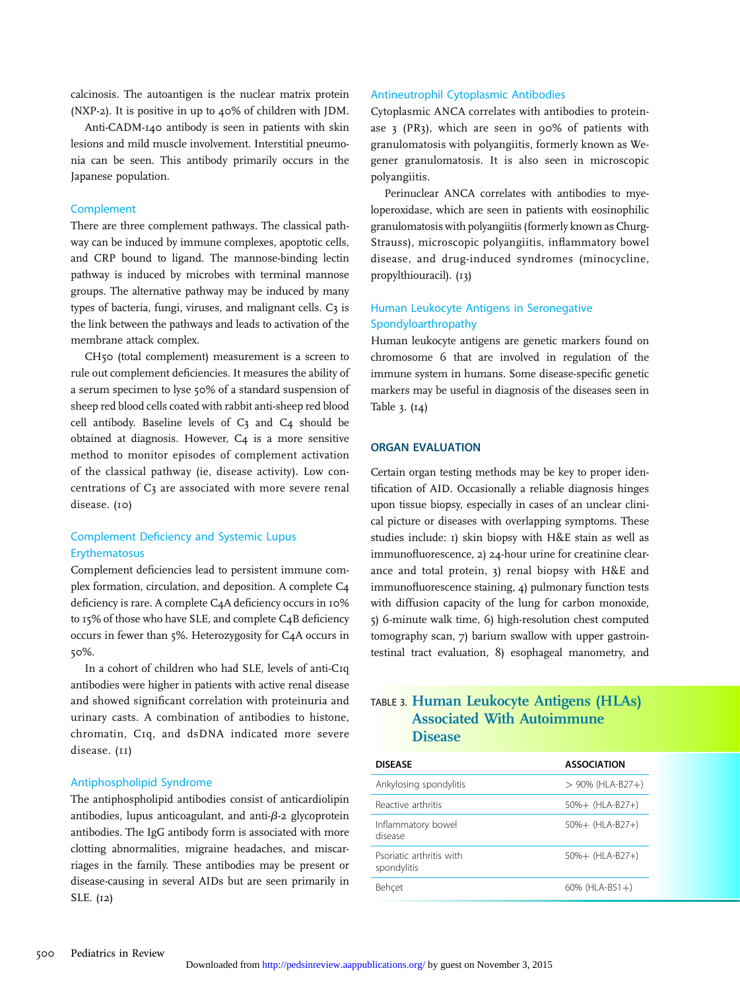calcinosis. The autoantigen is the nuclear matrix protein (NXP-2). It is positive in up to 40% of children with JDM.

Anti-CADM-140 antibody is seen in patients with skin lesions and mild muscle involvement. Interstitial pneumonia can be seen. This antibody primarily occurs in the Japanese population.

#### **Complement**

There are three complement pathways. The classical pathway can be induced by immune complexes, apoptotic cells, and CRP bound to ligand. The mannose-binding lectin pathway is induced by microbes with terminal mannose groups. The alternative pathway may be induced by many types of bacteria, fungi, viruses, and malignant cells. C3 is the link between the pathways and leads to activation of the membrane attack complex.

CH50 (total complement) measurement is a screen to rule out complement deficiencies. It measures the ability of a serum specimen to lyse 50% of a standard suspension of sheep red blood cells coated with rabbit anti-sheep red blood cell antibody. Baseline levels of  $C_3$  and  $C_4$  should be obtained at diagnosis. However, C4 is a more sensitive method to monitor episodes of complement activation of the classical pathway (ie, disease activity). Low concentrations of C3 are associated with more severe renal disease. (10)

#### Complement Deficiency and Systemic Lupus Erythematosus

Complement deficiencies lead to persistent immune complex formation, circulation, and deposition. A complete C4 deficiency is rare. A complete C4A deficiency occurs in 10% to 15% of those who have SLE, and complete C4B deficiency occurs in fewer than 5%. Heterozygosity for C4A occurs in 50%.

In a cohort of children who had SLE, levels of anti-C1q antibodies were higher in patients with active renal disease and showed significant correlation with proteinuria and urinary casts. A combination of antibodies to histone, chromatin, C1q, and dsDNA indicated more severe disease. (11)

#### Antiphospholipid Syndrome

The antiphospholipid antibodies consist of anticardiolipin antibodies, lupus anticoagulant, and anti- $\beta$ -2 glycoprotein antibodies. The IgG antibody form is associated with more clotting abnormalities, migraine headaches, and miscarriages in the family. These antibodies may be present or disease-causing in several AIDs but are seen primarily in SLE. (12)

#### Antineutrophil Cytoplasmic Antibodies

Cytoplasmic ANCA correlates with antibodies to proteinase 3 (PR3), which are seen in 90% of patients with granulomatosis with polyangiitis, formerly known as Wegener granulomatosis. It is also seen in microscopic polyangiitis.

Perinuclear ANCA correlates with antibodies to myeloperoxidase, which are seen in patients with eosinophilic granulomatosis with polyangiitis (formerly known as Churg-Strauss), microscopic polyangiitis, inflammatory bowel disease, and drug-induced syndromes (minocycline, propylthiouracil). (13)

## Human Leukocyte Antigens in Seronegative Spondyloarthropathy

Human leukocyte antigens are genetic markers found on chromosome 6 that are involved in regulation of the immune system in humans. Some disease-specific genetic markers may be useful in diagnosis of the diseases seen in Table 3. (14)

#### ORGAN EVALUATION

Certain organ testing methods may be key to proper identification of AID. Occasionally a reliable diagnosis hinges upon tissue biopsy, especially in cases of an unclear clinical picture or diseases with overlapping symptoms. These studies include: 1) skin biopsy with H&E stain as well as immunofluorescence, 2) 24-hour urine for creatinine clearance and total protein, 3) renal biopsy with H&E and immunofluorescence staining, 4) pulmonary function tests with diffusion capacity of the lung for carbon monoxide, 5) 6-minute walk time, 6) high-resolution chest computed tomography scan, 7) barium swallow with upper gastrointestinal tract evaluation, 8) esophageal manometry, and

# TABLE 3. Human Leukocyte Antigens (HLAs) Associated With Autoimmune **Disease**

| <b>DISEASE</b>                          | <b>ASSOCIATION</b>  |
|-----------------------------------------|---------------------|
| Ankylosing spondylitis                  | $> 90\%$ (HLA-B27+) |
| Reactive arthritis                      | $50\% + (HLA-B27+)$ |
| Inflammatory bowel<br>disease           | $50\% + (HLA-B27+)$ |
| Psoriatic arthritis with<br>spondylitis | $50\% + (HLA-B27+)$ |
| Behcet                                  | $60\%$ (HLA-B51+)   |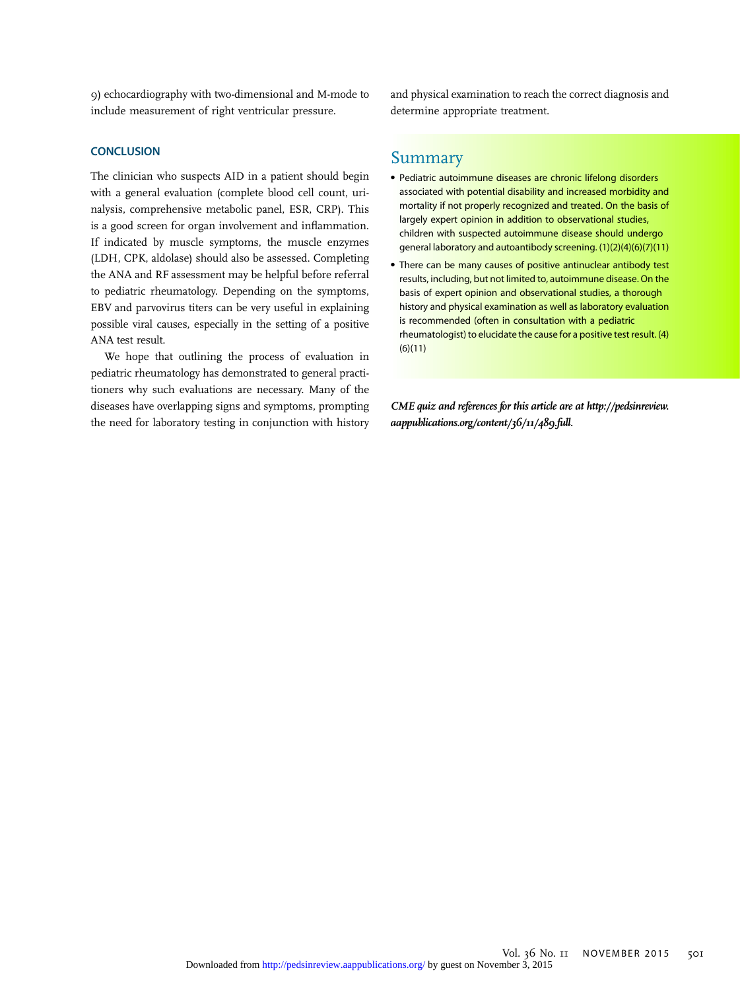9) echocardiography with two-dimensional and M-mode to include measurement of right ventricular pressure.

#### **CONCLUSION**

The clinician who suspects AID in a patient should begin with a general evaluation (complete blood cell count, urinalysis, comprehensive metabolic panel, ESR, CRP). This is a good screen for organ involvement and inflammation. If indicated by muscle symptoms, the muscle enzymes (LDH, CPK, aldolase) should also be assessed. Completing the ANA and RF assessment may be helpful before referral to pediatric rheumatology. Depending on the symptoms, EBV and parvovirus titers can be very useful in explaining possible viral causes, especially in the setting of a positive ANA test result.

We hope that outlining the process of evaluation in pediatric rheumatology has demonstrated to general practitioners why such evaluations are necessary. Many of the diseases have overlapping signs and symptoms, prompting the need for laboratory testing in conjunction with history and physical examination to reach the correct diagnosis and determine appropriate treatment.

## Summary

- Pediatric autoimmune diseases are chronic lifelong disorders associated with potential disability and increased morbidity and mortality if not properly recognized and treated. On the basis of largely expert opinion in addition to observational studies, children with suspected autoimmune disease should undergo general laboratory and autoantibody screening. (1)(2)(4)(6)(7)(11)
- There can be many causes of positive antinuclear antibody test results, including, but not limited to, autoimmune disease. On the basis of expert opinion and observational studies, a thorough history and physical examination as well as laboratory evaluation is recommended (often in consultation with a pediatric rheumatologist) to elucidate the cause for a positive test result. (4)  $(6)(11)$

CME quiz and references for this article are at [http://pedsinreview.](http://pedsinreview.aappublications.org/content/36/11/489.full) [aappublications.org/content/36/11/489.full](http://pedsinreview.aappublications.org/content/36/11/489.full).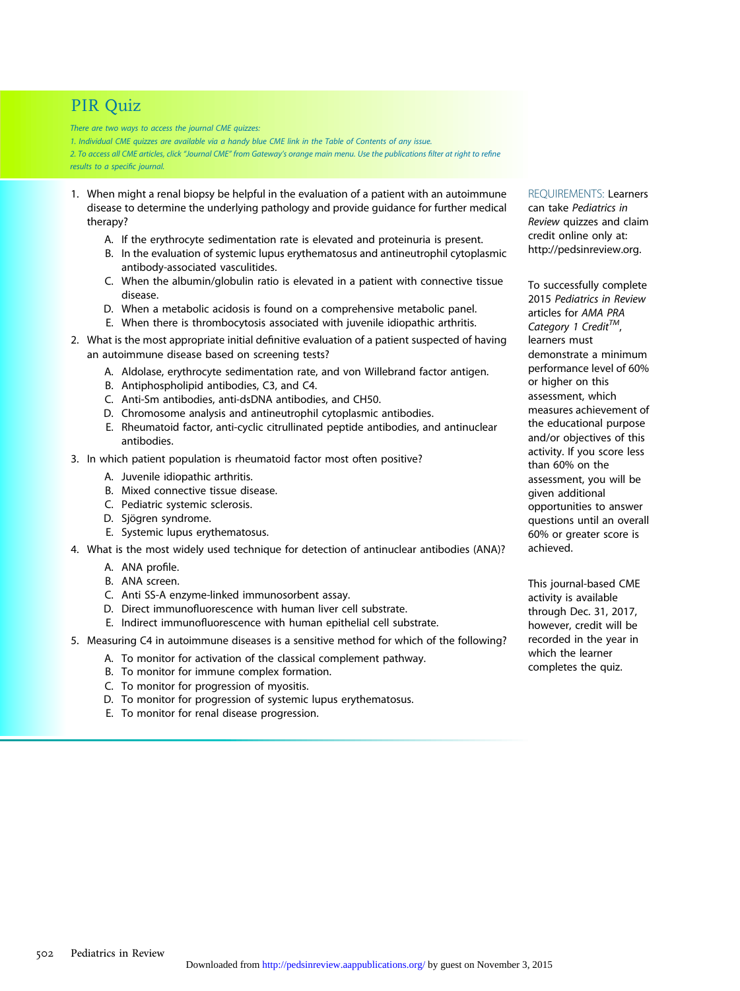# PIR Quiz

There are two ways to access the journal CME quizzes:

1. Individual CME quizzes are available via a handy blue CME link in the Table of Contents of any issue. 2. To access all CME articles, click "Journal CME" from Gateway's orange main menu. Use the publications filter at right to refine results to a specific journal.

- 1. When might a renal biopsy be helpful in the evaluation of a patient with an autoimmune disease to determine the underlying pathology and provide guidance for further medical therapy?
	- A. If the erythrocyte sedimentation rate is elevated and proteinuria is present.
	- B. In the evaluation of systemic lupus erythematosus and antineutrophil cytoplasmic antibody-associated vasculitides.
	- C. When the albumin/globulin ratio is elevated in a patient with connective tissue disease.
	- D. When a metabolic acidosis is found on a comprehensive metabolic panel.
	- E. When there is thrombocytosis associated with juvenile idiopathic arthritis.
- 2. What is the most appropriate initial definitive evaluation of a patient suspected of having an autoimmune disease based on screening tests?
	- A. Aldolase, erythrocyte sedimentation rate, and von Willebrand factor antigen.
	- B. Antiphospholipid antibodies, C3, and C4.
	- C. Anti-Sm antibodies, anti-dsDNA antibodies, and CH50.
	- D. Chromosome analysis and antineutrophil cytoplasmic antibodies.
	- E. Rheumatoid factor, anti-cyclic citrullinated peptide antibodies, and antinuclear antibodies.
- 3. In which patient population is rheumatoid factor most often positive?
	- A. Juvenile idiopathic arthritis.
	- B. Mixed connective tissue disease.
	- C. Pediatric systemic sclerosis.
	- D. Sjögren syndrome.
	- E. Systemic lupus erythematosus.
- 4. What is the most widely used technique for detection of antinuclear antibodies (ANA)?
	- A. ANA profile.
	- B. ANA screen.
	- C. Anti SS-A enzyme-linked immunosorbent assay.
	- D. Direct immunofluorescence with human liver cell substrate.
	- E. Indirect immunofluorescence with human epithelial cell substrate.
- 5. Measuring C4 in autoimmune diseases is a sensitive method for which of the following?
	- A. To monitor for activation of the classical complement pathway.
	- B. To monitor for immune complex formation.
	- C. To monitor for progression of myositis.
	- D. To monitor for progression of systemic lupus erythematosus.
	- E. To monitor for renal disease progression.

REQUIREMENTS: Learners can take Pediatrics in Review quizzes and claim credit online only at: <http://pedsinreview.org>.

To successfully complete 2015 Pediatrics in Review articles for AMA PRA Category 1 Credit $^{TM}$ , learners must demonstrate a minimum performance level of 60% or higher on this assessment, which measures achievement of the educational purpose and/or objectives of this activity. If you score less than 60% on the assessment, you will be given additional opportunities to answer questions until an overall 60% or greater score is achieved.

This journal-based CME activity is available through Dec. 31, 2017, however, credit will be recorded in the year in which the learner completes the quiz.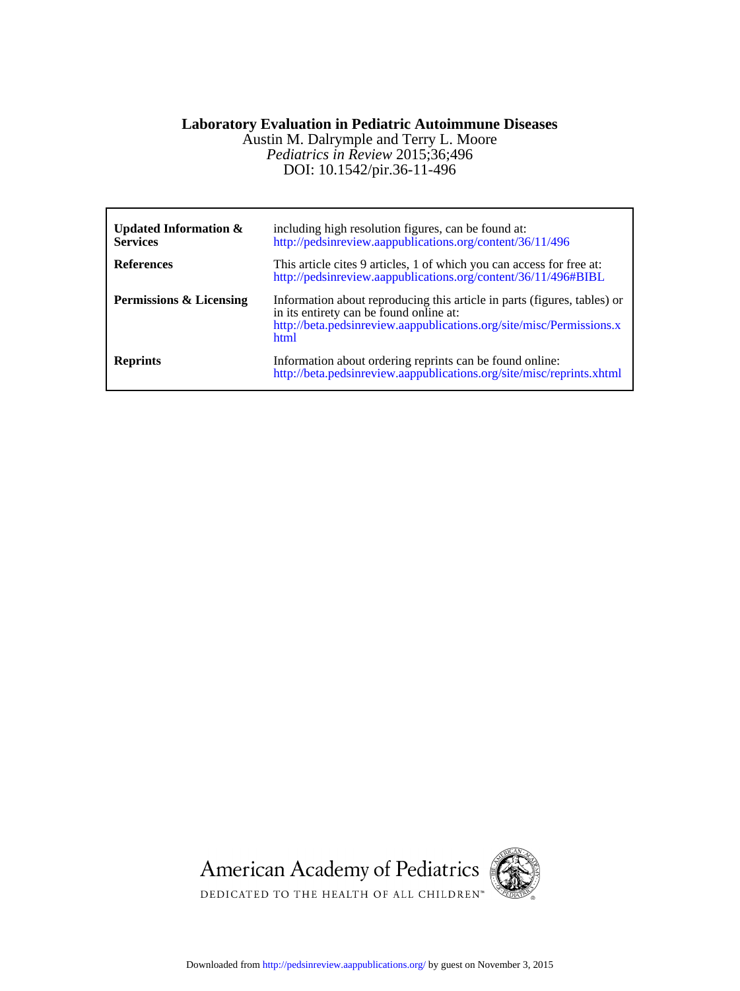# **Laboratory Evaluation in Pediatric Autoimmune Diseases**

DOI: 10.1542/pir.36-11-496 *Pediatrics in Review* 2015;36;496 Austin M. Dalrymple and Terry L. Moore

| Updated Information $\&$<br><b>Services</b> | including high resolution figures, can be found at:<br>http://pedsinreview.aappublications.org/content/36/11/496                                                                                    |
|---------------------------------------------|-----------------------------------------------------------------------------------------------------------------------------------------------------------------------------------------------------|
| <b>References</b>                           | This article cites 9 articles, 1 of which you can access for free at:<br>http://pedsinreview.aappublications.org/content/36/11/496#BIBL                                                             |
| Permissions & Licensing                     | Information about reproducing this article in parts (figures, tables) or<br>in its entirety can be found online at:<br>http://beta.pedsinreview.aappublications.org/site/misc/Permissions.x<br>html |
| <b>Reprints</b>                             | Information about ordering reprints can be found online:<br>http://beta.pedsinreview.aappublications.org/site/misc/reprints.xhtml                                                                   |